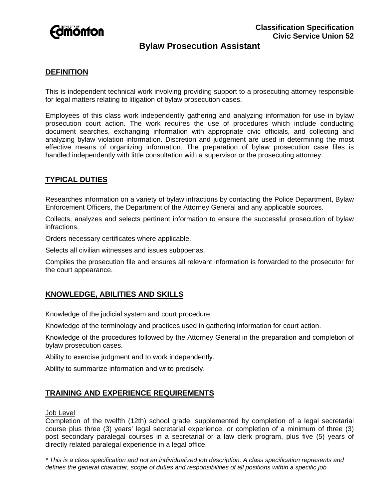

# **Bylaw Prosecution Assistant**

#### **DEFINITION**

This is independent technical work involving providing support to a prosecuting attorney responsible for legal matters relating to litigation of bylaw prosecution cases.

Employees of this class work independently gathering and analyzing information for use in bylaw prosecution court action. The work requires the use of procedures which include conducting document searches, exchanging information with appropriate civic officials, and collecting and analyzing bylaw violation information. Discretion and judgement are used in determining the most effective means of organizing information. The preparation of bylaw prosecution case files is handled independently with little consultation with a supervisor or the prosecuting attorney.

## **TYPICAL DUTIES**

Researches information on a variety of bylaw infractions by contacting the Police Department, Bylaw Enforcement Officers, the Department of the Attorney General and any applicable sources.

Collects, analyzes and selects pertinent information to ensure the successful prosecution of bylaw infractions.

Orders necessary certificates where applicable.

Selects all civilian witnesses and issues subpoenas.

Compiles the prosecution file and ensures all relevant information is forwarded to the prosecutor for the court appearance.

## **KNOWLEDGE, ABILITIES AND SKILLS**

Knowledge of the judicial system and court procedure.

Knowledge of the terminology and practices used in gathering information for court action.

Knowledge of the procedures followed by the Attorney General in the preparation and completion of bylaw prosecution cases.

Ability to exercise judgment and to work independently.

Ability to summarize information and write precisely.

#### **TRAINING AND EXPERIENCE REQUIREMENTS**

#### Job Level

Completion of the twelfth (12th) school grade, supplemented by completion of a legal secretarial course plus three (3) years' legal secretarial experience, or completion of a minimum of three (3) post secondary paralegal courses in a secretarial or a law clerk program, plus five (5) years of directly related paralegal experience in a legal office.

*\* This is a class specification and not an individualized job description. A class specification represents and defines the general character, scope of duties and responsibilities of all positions within a specific job*